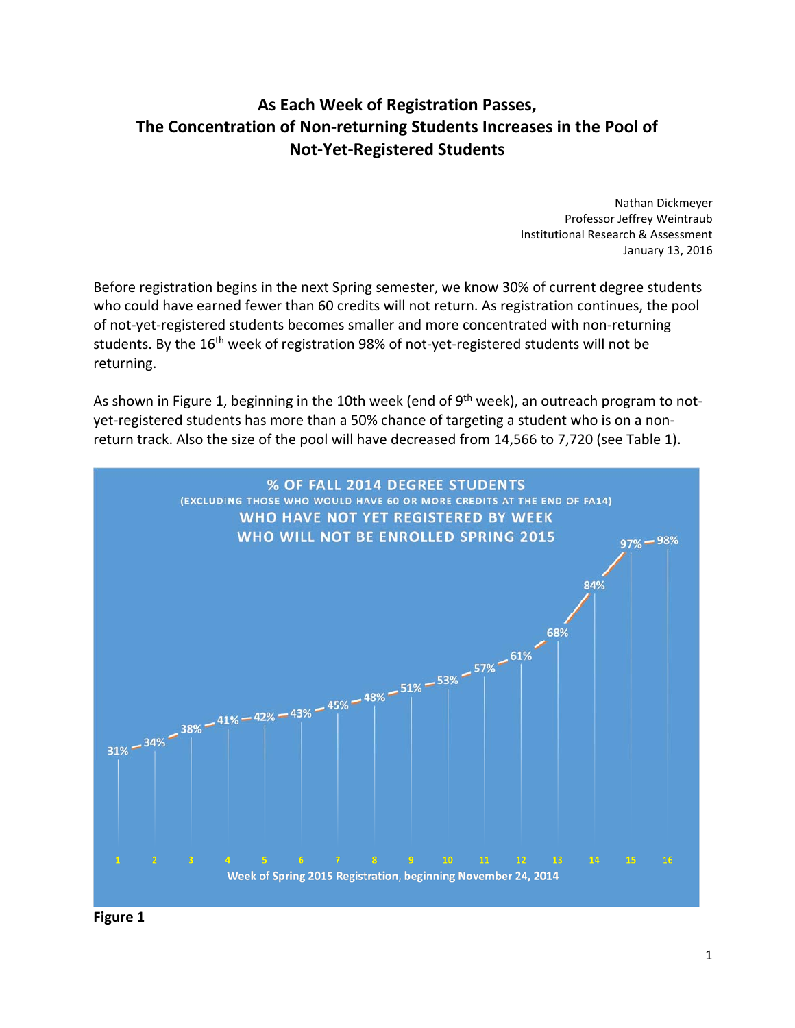## **As Each Week of Registration Passes, The Concentration of Non‐returning Students Increases in the Pool of Not‐Yet‐Registered Students**

 Nathan Dickmeyer Professor Jeffrey Weintraub Institutional Research & Assessment January 13, 2016

 Before registration begins in the next Spring semester, we know 30% of current degree students who could have earned fewer than 60 credits will not return. As registration continues, the pool of not‐yet‐registered students becomes smaller and more concentrated with non‐returning students. By the 16<sup>th</sup> week of registration 98% of not-yet-registered students will not be returning.

As shown in Figure 1, beginning in the 10th week (end of 9<sup>th</sup> week), an outreach program to not- yet‐registered students has more than a 50% chance of targeting a student who is on a non‐ return track. Also the size of the pool will have decreased from 14,566 to 7,720 (see Table 1).



 **Figure 1**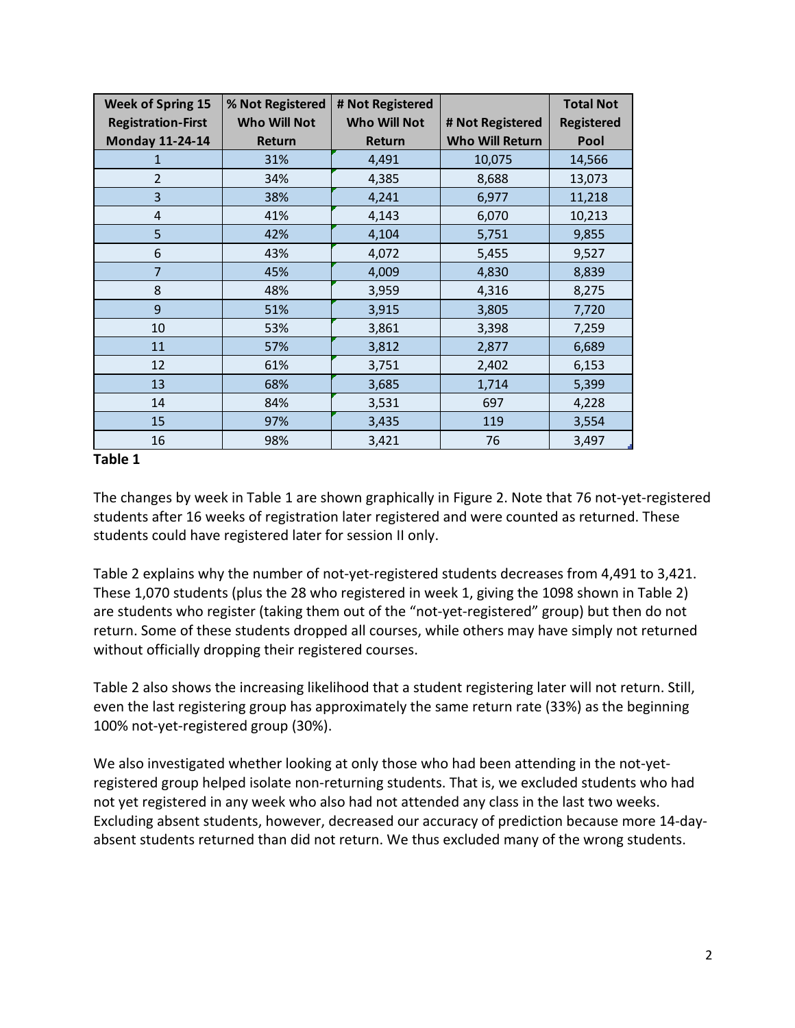| <b>Week of Spring 15</b><br><b>Registration-First</b> | % Not Registered<br><b>Who Will Not</b> | # Not Registered<br><b>Who Will Not</b> | # Not Registered       | <b>Total Not</b><br><b>Registered</b> |
|-------------------------------------------------------|-----------------------------------------|-----------------------------------------|------------------------|---------------------------------------|
| <b>Monday 11-24-14</b>                                | Return                                  | Return                                  | <b>Who Will Return</b> | Pool                                  |
| 1                                                     | 31%                                     | 4,491                                   | 10,075                 | 14,566                                |
| $\overline{2}$                                        | 34%                                     | 4,385                                   | 8,688                  | 13,073                                |
| 3                                                     | 38%                                     | 4,241                                   | 6,977                  | 11,218                                |
| 4                                                     | 41%                                     | 4,143                                   | 6,070                  | 10,213                                |
| 5                                                     | 42%                                     | 4,104                                   | 5,751                  | 9,855                                 |
| 6                                                     | 43%                                     | 4,072                                   | 5,455                  | 9,527                                 |
| 7                                                     | 45%                                     | 4,009                                   | 4,830                  | 8,839                                 |
| 8                                                     | 48%                                     | 3,959                                   | 4,316                  | 8,275                                 |
| 9                                                     | 51%                                     | 3,915                                   | 3,805                  | 7,720                                 |
| 10                                                    | 53%                                     | 3,861                                   | 3,398                  | 7,259                                 |
| 11                                                    | 57%                                     | 3,812                                   | 2,877                  | 6,689                                 |
| 12                                                    | 61%                                     | 3,751                                   | 2,402                  | 6,153                                 |
| 13                                                    | 68%                                     | 3,685                                   | 1,714                  | 5,399                                 |
| 14                                                    | 84%                                     | 3,531                                   | 697                    | 4,228                                 |
| 15                                                    | 97%                                     | 3,435                                   | 119                    | 3,554                                 |
| 16                                                    | 98%                                     | 3,421                                   | 76                     | 3,497                                 |

## **Table 1**

 The changes by week in Table 1 are shown graphically in Figure 2. Note that 76 not‐yet‐registered students after 16 weeks of registration later registered and were counted as returned. These students could have registered later for session II only.

 Table 2 explains why the number of not‐yet‐registered students decreases from 4,491 to 3,421. These 1,070 students (plus the 28 who registered in week 1, giving the 1098 shown in Table 2) are students who register (taking them out of the "not‐yet‐registered" group) but then do not return. Some of these students dropped all courses, while others may have simply not returned without officially dropping their registered courses.

 Table 2 also shows the increasing likelihood that a student registering later will not return. Still, even the last registering group has approximately the same return rate (33%) as the beginning 100% not‐yet‐registered group (30%).

 We also investigated whether looking at only those who had been attending in the not‐yet‐ registered group helped isolate non‐returning students. That is, we excluded students who had not yet registered in any week who also had not attended any class in the last two weeks. Excluding absent students, however, decreased our accuracy of prediction because more 14‐day‐ absent students returned than did not return. We thus excluded many of the wrong students.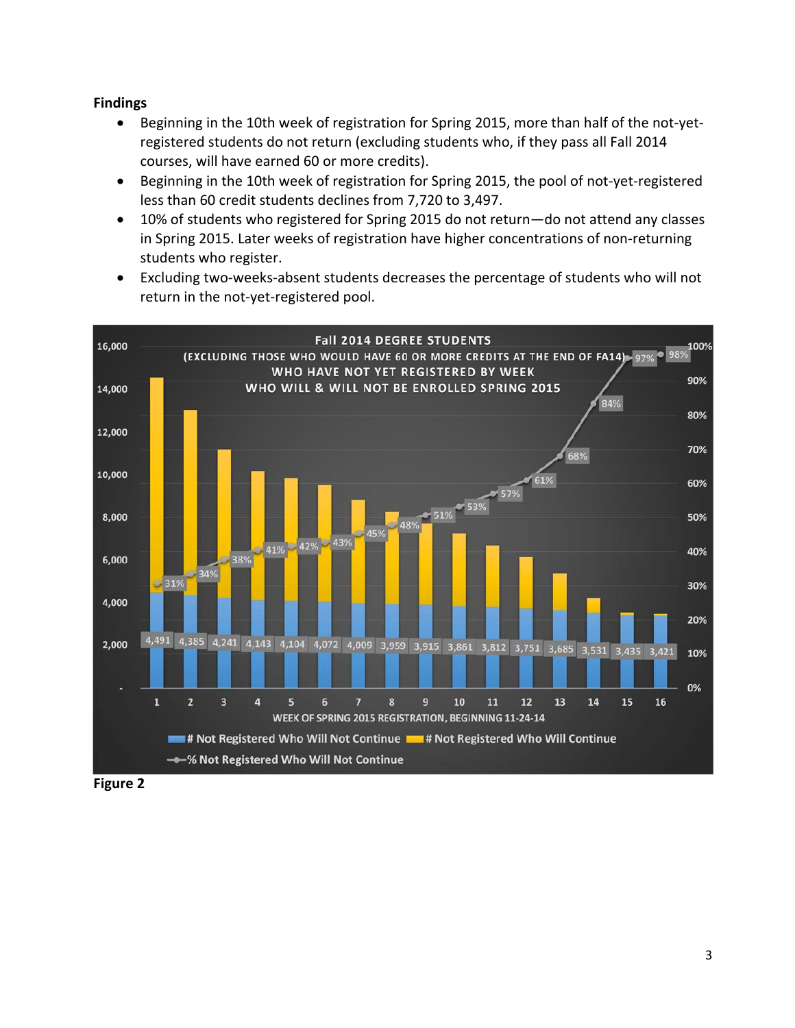## **Findings**

- Beginning in the 10th week of registration for Spring 2015, more than half of the not-yet- registered students do not return (excluding students who, if they pass all Fall 2014 courses, will have earned 60 or more credits).
- Beginning in the 10th week of registration for Spring 2015, the pool of not-yet-registered less than 60 credit students declines from 7,720 to 3,497.
- 10% of students who registered for Spring 2015 do not return—do not attend any classes in Spring 2015. Later weeks of registration have higher concentrations of non‐returning students who register.
- Excluding two-weeks-absent students decreases the percentage of students who will not return in the not‐yet‐registered pool.



 **Figure 2**